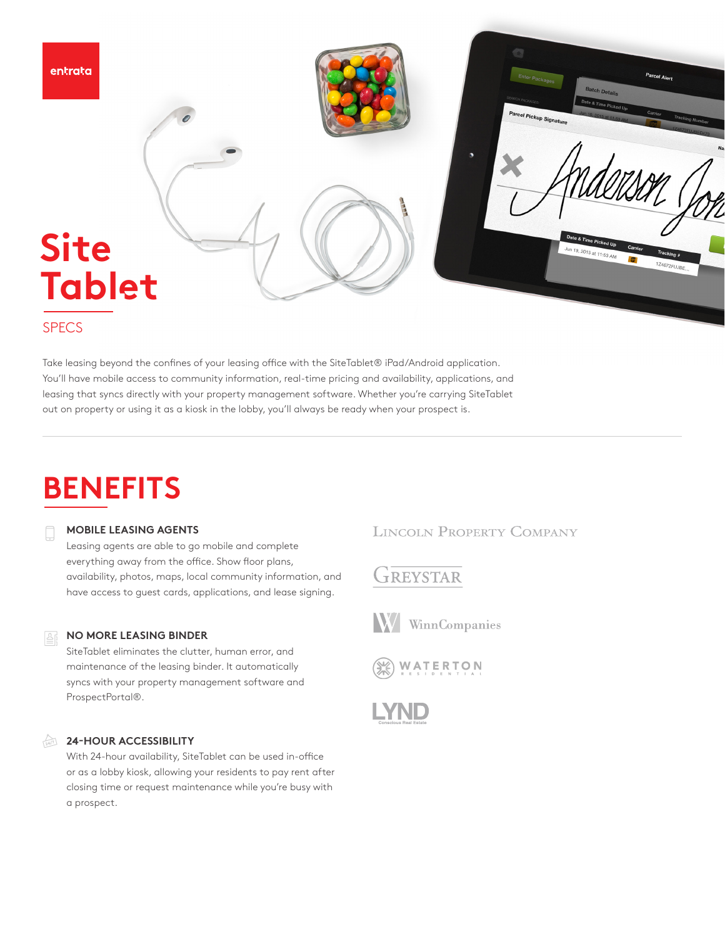

## **SPECS**

Take leasing beyond the confines of your leasing office with the SiteTablet® iPad/Android application. You'll have mobile access to community information, real-time pricing and availability, applications, and leasing that syncs directly with your property management software. Whether you're carrying SiteTablet out on property or using it as a kiosk in the lobby, you'll always be ready when your prospect is.

# **BENEFITS**

#### **MOBILE LEASING AGENTS**

Leasing agents are able to go mobile and complete everything away from the office. Show floor plans, availability, photos, maps, local community information, and have access to guest cards, applications, and lease signing.

#### **NO MORE LEASING BINDER**

SiteTablet eliminates the clutter, human error, and maintenance of the leasing binder. It automatically syncs with your property management software and ProspectPortal®.

#### **24-HOUR ACCESSIBILITY**

With 24-hour availability, SiteTablet can be used in-office or as a lobby kiosk, allowing your residents to pay rent after closing time or request maintenance while you're busy with a prospect.

## **LINCOLN PROPERTY COMPANY**

# GREYSTAR



**W** WinnCompanies